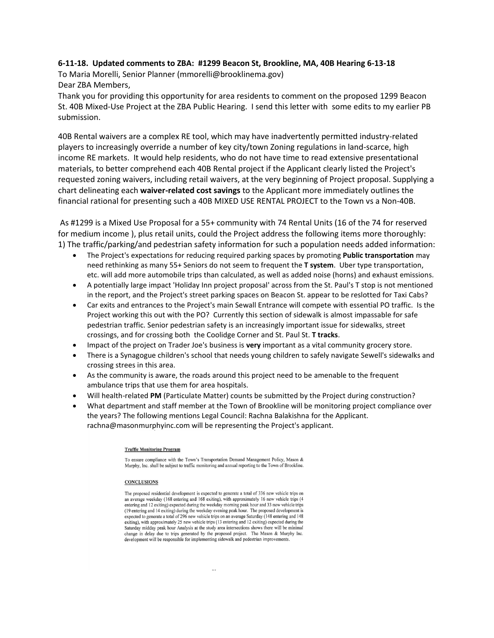## **6-11-18. Updated comments to ZBA: #1299 Beacon St, Brookline, MA, 40B Hearing 6-13-18**

To Maria Morelli, Senior Planner (mmorelli@brooklinema.gov) Dear ZBA Members,

Thank you for providing this opportunity for area residents to comment on the proposed 1299 Beacon St. 40B Mixed-Use Project at the ZBA Public Hearing. I send this letter with some edits to my earlier PB submission.

40B Rental waivers are a complex RE tool, which may have inadvertently permitted industry-related players to increasingly override a number of key city/town Zoning regulations in land-scarce, high income RE markets. It would help residents, who do not have time to read extensive presentational materials, to better comprehend each 40B Rental project if the Applicant clearly listed the Project's requested zoning waivers, including retail waivers, at the very beginning of Project proposal. Supplying a chart delineating each **waiver-related cost savings** to the Applicant more immediately outlines the financial rational for presenting such a 40B MIXED USE RENTAL PROJECT to the Town vs a Non-40B.

As #1299 is a Mixed Use Proposal for a 55+ community with 74 Rental Units (16 of the 74 for reserved for medium income ), plus retail units, could the Project address the following items more thoroughly: 1) The traffic/parking/and pedestrian safety information for such a population needs added information:

- The Project's expectations for reducing required parking spaces by promoting **Public transportation** may need rethinking as many 55+ Seniors do not seem to frequent the **T system**. Uber type transportation, etc. will add more automobile trips than calculated, as well as added noise (horns) and exhaust emissions.
- A potentially large impact 'Holiday Inn project proposal' across from the St. Paul's T stop is not mentioned in the report, and the Project's street parking spaces on Beacon St. appear to be reslotted for Taxi Cabs?
- Car exits and entrances to the Project's main Sewall Entrance will compete with essential PO traffic. Is the Project working this out with the PO? Currently this section of sidewalk is almost impassable for safe pedestrian traffic. Senior pedestrian safety is an increasingly important issue for sidewalks, street crossings, and for crossing both the Coolidge Corner and St. Paul St. **T tracks**.
- Impact of the project on Trader Joe's business is **very** important as a vital community grocery store.
- There is a Synagogue children's school that needs young children to safely navigate Sewell's sidewalks and crossing strees in this area.
- As the community is aware, the roads around this project need to be amenable to the frequent ambulance trips that use them for area hospitals.
- Will health-related **PM** (Particulate Matter) counts be submitted by the Project during construction?
- What department and staff member at the Town of Brookline will be monitoring project compliance over the years? The following mentions Legal Council: Rachna Balakishna for the Applicant. rachna@masonmurphyinc.com will be representing the Project's applicant.

## **Traffic Monitoring Program**

To ensure compliance with the Town's Transportation Demand Management Policy, Mason & Murphy, Inc. shall be subject to traffic monitoring and annual reporting to the Town of Brookline.

## **CONCLUSIONS**

The proposed residential development is expected to generate a total of 336 new vehicle trips on an average weekday (168 entering and 168 exiting), with approximately 16 new vehicle trips (4 entering and 12 exiting) expected during the weekday morning peak hour and 33 new vehicle trips (19 entering and 14 exiting) during the weekday evening peak hour. The proposed development is expected to generate a total of 296 new vehicle trips on an average Saturday (148 entering and 148 exiting), with approximately 25 new vehicle trips (13 entering and 12 exiting) expected during the Saturday midday peak hour Analysis at the study area intersections shows there will be minimal change in delay due to trips generated by the proposed project. The Mason & Murphy Inc. development will be responsible for implementing sidewalk and pedestrian improvements.

 $\overline{a}$